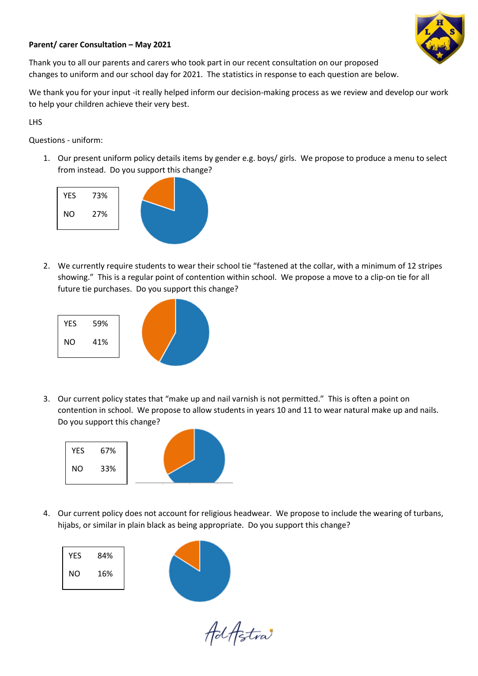

## **Parent/ carer Consultation – May 2021**

Thank you to all our parents and carers who took part in our recent consultation on our proposed changes to uniform and our school day for 2021. The statistics in response to each question are below.

We thank you for your input -it really helped inform our decision-making process as we review and develop our work to help your children achieve their very best.

LHS

Questions - uniform:

1. Our present uniform policy details items by gender e.g. boys/ girls. We propose to produce a menu to select from instead. Do you support this change?



2. We currently require students to wear their school tie "fastened at the collar, with a minimum of 12 stripes showing." This is a regular point of contention within school. We propose a move to a clip-on tie for all future tie purchases. Do you support this change?



3. Our current policy states that "make up and nail varnish is not permitted." This is often a point on contention in school. We propose to allow students in years 10 and 11 to wear natural make up and nails. Do you support this change?



4. Our current policy does not account for religious headwear. We propose to include the wearing of turbans, hijabs, or similar in plain black as being appropriate. Do you support this change?

| <b>YES</b> | 84% |  |
|------------|-----|--|
| <b>NO</b>  | 16% |  |
|            |     |  |

AdAstra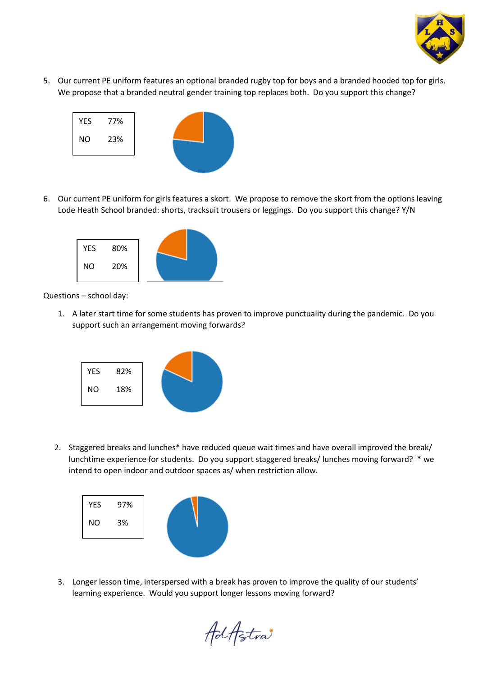

5. Our current PE uniform features an optional branded rugby top for boys and a branded hooded top for girls. We propose that a branded neutral gender training top replaces both. Do you support this change?



6. Our current PE uniform for girls features a skort. We propose to remove the skort from the options leaving Lode Heath School branded: shorts, tracksuit trousers or leggings. Do you support this change? Y/N



Questions – school day:

1. A later start time for some students has proven to improve punctuality during the pandemic. Do you support such an arrangement moving forwards?



2. Staggered breaks and lunches\* have reduced queue wait times and have overall improved the break/ lunchtime experience for students. Do you support staggered breaks/ lunches moving forward? \* we intend to open indoor and outdoor spaces as/ when restriction allow.



3. Longer lesson time, interspersed with a break has proven to improve the quality of our students' learning experience. Would you support longer lessons moving forward?

AdAstra